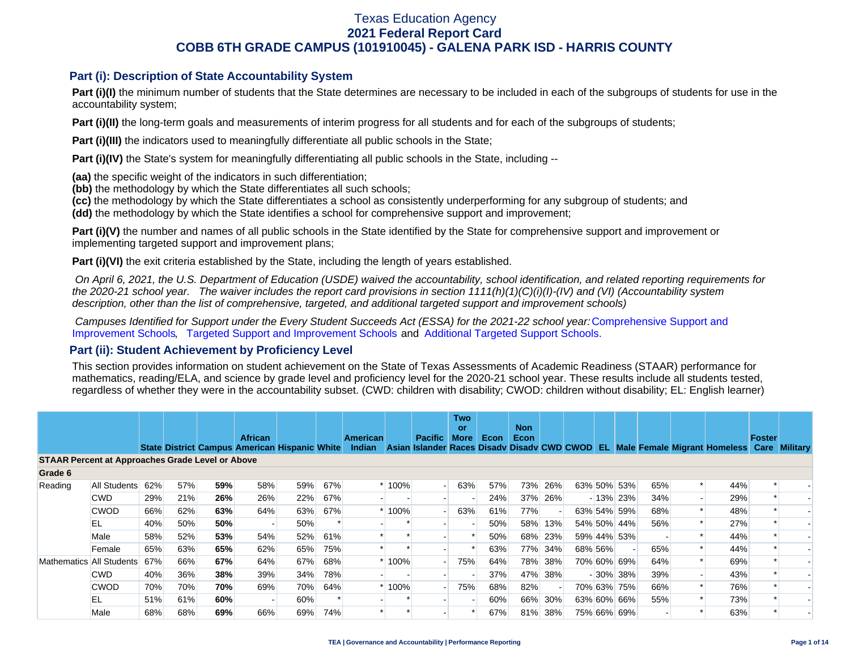## **Part (i): Description of State Accountability System**

**Part (i)(I)** the minimum number of students that the State determines are necessary to be included in each of the subgroups of students for use in the accountability system;

**Part (i)(II)** the long-term goals and measurements of interim progress for all students and for each of the subgroups of students;

**Part (i)(III)** the indicators used to meaningfully differentiate all public schools in the State;

**Part (i)(IV)** the State's system for meaningfully differentiating all public schools in the State, including --

**(aa)** the specific weight of the indicators in such differentiation;

**(bb)** the methodology by which the State differentiates all such schools;

**(cc)** the methodology by which the State differentiates a school as consistently underperforming for any subgroup of students; and

**(dd)** the methodology by which the State identifies a school for comprehensive support and improvement;

**Part (i)(V)** the number and names of all public schools in the State identified by the State for comprehensive support and improvement or implementing targeted support and improvement plans;

**Part (i)(VI)** the exit criteria established by the State, including the length of years established.

 *On April 6, 2021, the U.S. Department of Education (USDE) waived the accountability, school identification, and related reporting requirements for the 2020-21 school year. The waiver includes the report card provisions in section 1111(h)(1)(C)(i)(I)-(IV) and (VI) (Accountability system description, other than the list of comprehensive, targeted, and additional targeted support and improvement schools)* 

*Campuses Identified for Support under the Every Student Succeeds Act (ESSA) for the 2021-22 school year:* [Comprehensive Support and](https://tea.texas.gov/sites/default/files/comprehensive_support_2021.xlsx) [Improvement Schools](https://tea.texas.gov/sites/default/files/comprehensive_support_2021.xlsx), [Targeted Support and Improvement Schools](https://tea.texas.gov/sites/default/files/targeted_support_2021.xlsx) and [Additional Targeted Support Schools.](https://tea.texas.gov/sites/default/files/additional_targeted_support_2021.xlsx)

### **Part (ii): Student Achievement by Proficiency Level**

This section provides information on student achievement on the State of Texas Assessments of Academic Readiness (STAAR) performance for mathematics, reading/ELA, and science by grade level and proficiency level for the 2020-21 school year. These results include all students tested, regardless of whether they were in the accountability subset. (CWD: children with disability; CWOD: children without disability; EL: English learner)

|                                                         |              |     |     |     | <b>African</b>                                       |     |     | American      |         | <b>Pacific</b> | <b>Two</b><br>or.<br><b>More</b> | Econ <sub>7</sub> | <b>Non</b><br>Econ |         |         |             |     |                                                                             | <b>Foster</b> |                 |
|---------------------------------------------------------|--------------|-----|-----|-----|------------------------------------------------------|-----|-----|---------------|---------|----------------|----------------------------------|-------------------|--------------------|---------|---------|-------------|-----|-----------------------------------------------------------------------------|---------------|-----------------|
|                                                         |              |     |     |     | <b>State District Campus American Hispanic White</b> |     |     | <b>Indian</b> |         |                |                                  |                   |                    |         |         |             |     | Asian Islander Races Disady Disady CWD CWOD EL Male Female Migrant Homeless | Care          | <b>Military</b> |
| <b>STAAR Percent at Approaches Grade Level or Above</b> |              |     |     |     |                                                      |     |     |               |         |                |                                  |                   |                    |         |         |             |     |                                                                             |               |                 |
| Grade 6                                                 |              |     |     |     |                                                      |     |     |               |         |                |                                  |                   |                    |         |         |             |     |                                                                             |               |                 |
| Reading                                                 | All Students | 62% | 57% | 59% | 58%                                                  | 59% | 67% |               | $*100%$ | $\blacksquare$ | 63%                              | 57%               | 73%                | 26%     |         | 63% 50% 53% | 65% | 44%                                                                         |               |                 |
|                                                         | <b>CWD</b>   | 29% | 21% | 26% | 26%                                                  | 22% | 67% |               |         |                |                                  | 24%               | 37%                | 26%     |         | $-13\%$ 23% | 34% | 29%                                                                         |               |                 |
|                                                         | <b>CWOD</b>  | 66% | 62% | 63% | 64%                                                  | 63% | 67% |               | * 100%  |                | 63%                              | 61%               | 77%                |         |         | 63% 54% 59% | 68% | 48%                                                                         |               |                 |
|                                                         | EL           | 40% | 50% | 50% |                                                      | 50% |     |               |         |                |                                  | 50%               | 58%                | 13%     |         | 54% 50% 44% | 56% | 27%                                                                         |               |                 |
|                                                         | Male         | 58% | 52% | 53% | 54%                                                  | 52% | 61% |               |         |                |                                  | 50%               | 68%                | 23%     |         | 59% 44% 53% |     | 44%                                                                         |               |                 |
|                                                         | Female       | 65% | 63% | 65% | 62%                                                  | 65% | 75% |               |         |                |                                  | 63%               |                    | 77% 34% | 68% 56% |             | 65% | 44%                                                                         |               |                 |
| Mathematics All Students                                |              | 67% | 66% | 67% | 64%                                                  | 67% | 68% |               | * 100%  |                | 75%                              | 64%               | 78%                | 38%     |         | 70% 60% 69% | 64% | 69%                                                                         |               |                 |
|                                                         | <b>CWD</b>   | 40% | 36% | 38% | 39%                                                  | 34% | 78% |               |         |                |                                  | 37%               | 47%                | 38%     |         | $-30\%$ 38% | 39% | 43%                                                                         |               |                 |
|                                                         | <b>CWOD</b>  | 70% | 70% | 70% | 69%                                                  | 70% | 64% |               | * 100%  |                | 75%                              | 68%               | 82%                |         |         | 70% 63% 75% | 66% | 76%                                                                         |               |                 |
|                                                         | EL           | 51% | 61% | 60% |                                                      | 60% |     |               |         |                |                                  | 60%               | 66%                | 30%     |         | 63% 60% 66% | 55% | 73%                                                                         |               |                 |
|                                                         | Male         | 68% | 68% | 69% | 66%                                                  | 69% | 74% |               |         |                |                                  | 67%               | 81%                | 38%     |         | 75% 66% 69% |     | 63%                                                                         |               |                 |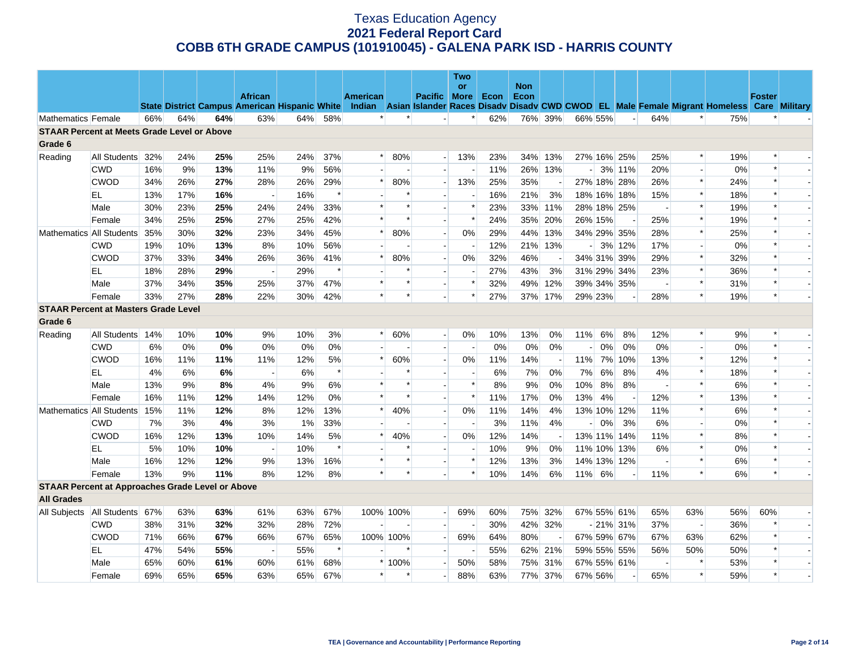|                    |                                                         |     |     |     |                          |                                                      |        |                 |           |                          | <b>Two</b>               |      |                    |                          |                          |         |             |                          |                |                                                                                                  |               |  |
|--------------------|---------------------------------------------------------|-----|-----|-----|--------------------------|------------------------------------------------------|--------|-----------------|-----------|--------------------------|--------------------------|------|--------------------|--------------------------|--------------------------|---------|-------------|--------------------------|----------------|--------------------------------------------------------------------------------------------------|---------------|--|
|                    |                                                         |     |     |     | <b>African</b>           |                                                      |        | <b>American</b> |           | Pacific More             | or                       | Econ | <b>Non</b><br>Econ |                          |                          |         |             |                          |                |                                                                                                  | <b>Foster</b> |  |
|                    |                                                         |     |     |     |                          | <b>State District Campus American Hispanic White</b> |        |                 |           |                          |                          |      |                    |                          |                          |         |             |                          |                | Indian Asian Islander Races Disady Disady CWD CWOD EL Male Female Migrant Homeless Care Military |               |  |
| Mathematics Female |                                                         | 66% | 64% | 64% | 63%                      | 64%                                                  | 58%    | $\ast$          | $\ast$    |                          | *                        | 62%  |                    | 76% 39%                  |                          | 66% 55% |             | 64%                      | *              | 75%                                                                                              |               |  |
|                    | <b>STAAR Percent at Meets Grade Level or Above</b>      |     |     |     |                          |                                                      |        |                 |           |                          |                          |      |                    |                          |                          |         |             |                          |                |                                                                                                  |               |  |
| Grade 6            |                                                         |     |     |     |                          |                                                      |        |                 |           |                          |                          |      |                    |                          |                          |         |             |                          |                |                                                                                                  |               |  |
| Reading            | All Students                                            | 32% | 24% | 25% | 25%                      | 24%                                                  | 37%    | $\ast$          | 80%       | $\overline{a}$           | 13%                      | 23%  | 34%                | 13%                      |                          |         | 27% 16% 25% | 25%                      | $\ast$         | 19%                                                                                              |               |  |
|                    | <b>CWD</b>                                              | 16% | 9%  | 13% | 11%                      | 9%                                                   | 56%    |                 |           |                          |                          | 11%  |                    | 26% 13%                  | $\overline{\phantom{a}}$ |         | 3% 11%      | 20%                      |                | 0%                                                                                               |               |  |
|                    | <b>CWOD</b>                                             | 34% | 26% | 27% | 28%                      | 26%                                                  | 29%    | $\ast$          | 80%       |                          | 13%                      | 25%  | 35%                | $\overline{\phantom{a}}$ |                          |         | 27% 18% 28% | 26%                      | $\ast$         | 24%                                                                                              | $\ast$        |  |
|                    | EL                                                      | 13% | 17% | 16% | $\overline{\phantom{a}}$ | 16%                                                  | $\ast$ |                 | $\ast$    |                          |                          | 16%  | 21%                | 3%                       |                          |         | 18% 16% 18% | 15%                      | $\ast$         | 18%                                                                                              |               |  |
|                    | Male                                                    | 30% | 23% | 25% | 24%                      | 24%                                                  | 33%    | $\ast$          | $\ast$    |                          | $\ast$                   | 23%  |                    | 33% 11%                  |                          |         | 28% 18% 25% |                          | $\ast$         | 19%                                                                                              |               |  |
|                    | Female                                                  | 34% | 25% | 25% | 27%                      | 25%                                                  | 42%    | $\ast$          | $\ast$    |                          | $\ast$                   | 24%  | 35%                | 20%                      |                          | 26% 15% |             | 25%                      | $\ast$         | 19%                                                                                              |               |  |
|                    | Mathematics All Students                                | 35% | 30% | 32% | 23%                      | 34%                                                  | 45%    | $\ast$          | 80%       | $\overline{\phantom{a}}$ | 0%                       | 29%  | 44%                | 13%                      |                          |         | 34% 29% 35% | 28%                      | $\ast$         | 25%                                                                                              |               |  |
|                    | <b>CWD</b>                                              | 19% | 10% | 13% | 8%                       | 10%                                                  | 56%    |                 |           |                          |                          | 12%  |                    | 21% 13%                  | $\overline{a}$           |         | 3% 12%      | 17%                      |                | 0%                                                                                               |               |  |
|                    | <b>CWOD</b>                                             | 37% | 33% | 34% | 26%                      | 36%                                                  | 41%    | $\ast$          | 80%       |                          | 0%                       | 32%  | 46%                |                          |                          |         | 34% 31% 39% | 29%                      | $\ast$         | 32%                                                                                              |               |  |
|                    | EL.                                                     | 18% | 28% | 29% | $\overline{\phantom{a}}$ | 29%                                                  | $\ast$ |                 |           | $\overline{a}$           |                          | 27%  | 43%                | 3%                       |                          |         | 31% 29% 34% | 23%                      | $\ast$         | 36%                                                                                              |               |  |
|                    | Male                                                    | 37% | 34% | 35% | 25%                      | 37%                                                  | 47%    |                 | $\ast$    |                          | $\ast$                   | 32%  | 49%                | 12%                      |                          |         | 39% 34% 35% |                          | $\ast$         | 31%                                                                                              |               |  |
|                    | Female                                                  | 33% | 27% | 28% | 22%                      | 30%                                                  | 42%    |                 | $\ast$    |                          | $\ast$                   | 27%  |                    | 37% 17%                  |                          | 29% 23% |             | 28%                      | $\ast$         | 19%                                                                                              | $\ast$        |  |
|                    | <b>STAAR Percent at Masters Grade Level</b>             |     |     |     |                          |                                                      |        |                 |           |                          |                          |      |                    |                          |                          |         |             |                          |                |                                                                                                  |               |  |
| Grade 6            |                                                         |     |     |     |                          |                                                      |        |                 |           |                          |                          |      |                    |                          |                          |         |             |                          |                |                                                                                                  |               |  |
| Reading            | All Students                                            | 14% | 10% | 10% | 9%                       | 10%                                                  | 3%     | $\ast$          | 60%       |                          | 0%                       | 10%  | 13%                | 0%                       | 11%                      | 6%      | 8%          | 12%                      | $\ast$         | 9%                                                                                               |               |  |
|                    | <b>CWD</b>                                              | 6%  | 0%  | 0%  | 0%                       | 0%                                                   | 0%     |                 |           | $\overline{a}$           | $\overline{\phantom{a}}$ | 0%   | 0%                 | 0%                       |                          | $0\%$   | 0%          | 0%                       | $\overline{a}$ | 0%                                                                                               | $\ast$        |  |
|                    | <b>CWOD</b>                                             | 16% | 11% | 11% | 11%                      | 12%                                                  | 5%     | $\ast$          | 60%       | $\sim$                   | 0%                       | 11%  | 14%                | $\overline{\phantom{a}}$ | 11%                      |         | 7% 10%      | 13%                      | $\ast$         | 12%                                                                                              |               |  |
|                    | EL                                                      | 4%  | 6%  | 6%  |                          | 6%                                                   | $\ast$ |                 | ∗         |                          | $\overline{a}$           | 6%   | 7%                 | 0%                       | 7%                       | 6%      | 8%          | 4%                       | $\ast$         | 18%                                                                                              |               |  |
|                    | Male                                                    | 13% | 9%  | 8%  | 4%                       | 9%                                                   | 6%     | $\ast$          | $\ast$    |                          | $\ast$                   | 8%   | 9%                 | 0%                       | 10%                      | 8%      | 8%          | $\overline{\phantom{a}}$ | $\ast$         | 6%                                                                                               |               |  |
|                    | Female                                                  | 16% | 11% | 12% | 14%                      | 12%                                                  | 0%     | $\ast$          | $\ast$    |                          | $\ast$                   | 11%  | 17%                | 0%                       | 13%                      | 4%      | $\sim$      | 12%                      | $\ast$         | 13%                                                                                              |               |  |
|                    | Mathematics All Students                                | 15% | 11% | 12% | 8%                       | 12%                                                  | 13%    | $\ast$          | 40%       |                          | $0\%$                    | 11%  | 14%                | 4%                       |                          |         | 13% 10% 12% | 11%                      | $\ast$         | 6%                                                                                               |               |  |
|                    | <b>CWD</b>                                              | 7%  | 3%  | 4%  | 3%                       | 1%                                                   | 33%    |                 |           |                          |                          | 3%   | 11%                | 4%                       |                          | 0%      | 3%          | 6%                       |                | 0%                                                                                               |               |  |
|                    | <b>CWOD</b>                                             | 16% | 12% | 13% | 10%                      | 14%                                                  | 5%     | $\ast$          | 40%       | $\overline{a}$           | $0\%$                    | 12%  | 14%                | $\overline{\phantom{a}}$ |                          |         | 13% 11% 14% | 11%                      | $\ast$         | 8%                                                                                               | $\ast$        |  |
|                    | EL                                                      | 5%  | 10% | 10% |                          | 10%                                                  | $\ast$ |                 | $\ast$    |                          |                          | 10%  | 9%                 | 0%                       |                          |         | 11% 10% 13% | 6%                       | $\ast$         | 0%                                                                                               |               |  |
|                    | Male                                                    | 16% | 12% | 12% | 9%                       | 13%                                                  | 16%    | $\ast$          | $\ast$    |                          | $\ast$                   | 12%  | 13%                | 3%                       |                          |         | 14% 13% 12% |                          | $\ast$         | 6%                                                                                               |               |  |
|                    | Female                                                  | 13% | 9%  | 11% | 8%                       | 12%                                                  | 8%     | $\ast$          | $\ast$    |                          | $\ast$                   | 10%  | 14%                | 6%                       |                          | 11% 6%  |             | 11%                      | $\ast$         | 6%                                                                                               | $\ast$        |  |
|                    | <b>STAAR Percent at Approaches Grade Level or Above</b> |     |     |     |                          |                                                      |        |                 |           |                          |                          |      |                    |                          |                          |         |             |                          |                |                                                                                                  |               |  |
| <b>All Grades</b>  |                                                         |     |     |     |                          |                                                      |        |                 |           |                          |                          |      |                    |                          |                          |         |             |                          |                |                                                                                                  |               |  |
| All Subjects       | All Students                                            | 67% | 63% | 63% | 61%                      | 63%                                                  | 67%    |                 | 100% 100% | $\overline{a}$           | 69%                      | 60%  |                    | 75% 32%                  |                          |         | 67% 55% 61% | 65%                      | 63%            | 56%                                                                                              | 60%           |  |
|                    | <b>CWD</b>                                              | 38% | 31% | 32% | 32%                      | 28%                                                  | 72%    | $\overline{a}$  |           | $\overline{a}$           |                          | 30%  |                    | 42% 32%                  |                          |         | $-21\%$ 31% | 37%                      | $\overline{a}$ | 36%                                                                                              |               |  |
|                    | <b>CWOD</b>                                             | 71% | 66% | 67% | 66%                      | 67%                                                  | 65%    |                 | 100% 100% |                          | 69%                      | 64%  | 80%                |                          |                          |         | 67% 59% 67% | 67%                      | 63%            | 62%                                                                                              |               |  |
|                    | <b>EL</b>                                               | 47% | 54% | 55% |                          | 55%                                                  | $\ast$ |                 |           |                          |                          | 55%  |                    | 62% 21%                  |                          |         | 59% 55% 55% | 56%                      | 50%            | 50%                                                                                              |               |  |
|                    | Male                                                    | 65% | 60% | 61% | 60%                      | 61%                                                  | 68%    |                 | * 100%    |                          | 50%                      | 58%  | 75%                | 31%                      |                          |         | 67% 55% 61% | $\overline{\phantom{a}}$ | $\ast$         | 53%                                                                                              |               |  |
|                    | Female                                                  | 69% | 65% | 65% | 63%                      | 65%                                                  | 67%    | $\ast$          |           |                          | 88%                      | 63%  |                    | 77% 37%                  |                          | 67% 56% |             | 65%                      | $\ast$         | 59%                                                                                              |               |  |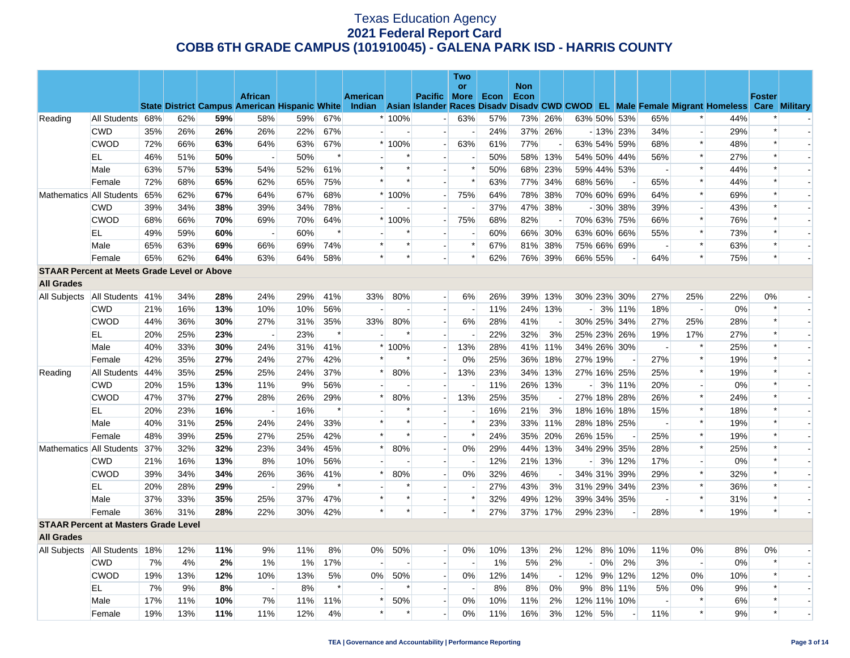|                   |                                                    |     |     |     |                |     |        |          |         |                          | Two    |      |                    |                          |                          |         |                          |                          |                          |                                                                                                                                                |               |                          |
|-------------------|----------------------------------------------------|-----|-----|-----|----------------|-----|--------|----------|---------|--------------------------|--------|------|--------------------|--------------------------|--------------------------|---------|--------------------------|--------------------------|--------------------------|------------------------------------------------------------------------------------------------------------------------------------------------|---------------|--------------------------|
|                   |                                                    |     |     |     | <b>African</b> |     |        | American |         | Pacific More             | or     | Econ | <b>Non</b><br>Econ |                          |                          |         |                          |                          |                          |                                                                                                                                                | <b>Foster</b> |                          |
|                   |                                                    |     |     |     |                |     |        |          |         |                          |        |      |                    |                          |                          |         |                          |                          |                          | State District Campus American Hispanic White Indian Asian Islander Races Disady Disady CWD CWOD EL Male Female Migrant Homeless Care Military |               |                          |
| Reading           | All Students                                       | 68% | 62% | 59% | 58%            | 59% | 67%    |          | $*100%$ | $\overline{a}$           | 63%    | 57%  | 73%                | 26%                      |                          |         | 63% 50% 53%              | 65%                      | $\ast$                   | 44%                                                                                                                                            |               |                          |
|                   | <b>CWD</b>                                         | 35% | 26% | 26% | 26%            | 22% | 67%    |          |         | $\overline{\phantom{a}}$ |        | 24%  |                    | 37% 26%                  |                          |         | $-13%$ 23%               | 34%                      | $\overline{\phantom{a}}$ | 29%                                                                                                                                            | $\ast$        |                          |
|                   | <b>CWOD</b>                                        | 72% | 66% | 63% | 64%            | 63% | 67%    |          | $*100%$ | $\overline{\phantom{a}}$ | 63%    | 61%  | 77%                |                          |                          |         | 63% 54% 59%              | 68%                      | $\ast$                   | 48%                                                                                                                                            | $\ast$        |                          |
|                   | EL                                                 | 46% | 51% | 50% |                | 50% | $\ast$ |          |         |                          |        | 50%  | 58%                | 13%                      |                          |         | 54% 50% 44%              | 56%                      | $\ast$                   | 27%                                                                                                                                            |               |                          |
|                   | Male                                               | 63% | 57% | 53% | 54%            | 52% | 61%    | $\ast$   |         | ÷                        | $\ast$ | 50%  |                    | 68% 23%                  |                          |         | 59% 44% 53%              | $\sim$                   | $\ast$                   | 44%                                                                                                                                            |               |                          |
|                   | Female                                             | 72% | 68% | 65% | 62%            | 65% | 75%    | $\ast$   |         |                          | $\ast$ | 63%  |                    | 77% 34%                  |                          | 68% 56% |                          | 65%                      | $\ast$                   | 44%                                                                                                                                            |               |                          |
|                   | Mathematics All Students                           | 65% | 62% | 67% | 64%            | 67% | 68%    |          | * 100%  | $\sim$                   | 75%    | 64%  |                    | 78% 38%                  |                          |         | 70% 60% 69%              | 64%                      | $\pmb{\ast}$             | 69%                                                                                                                                            | $\ast$        |                          |
|                   | <b>CWD</b>                                         | 39% | 34% | 38% | 39%            | 34% | 78%    |          |         |                          |        | 37%  |                    | 47% 38%                  |                          |         | $-30\%$ 38%              | 39%                      | $\overline{\phantom{a}}$ | 43%                                                                                                                                            |               |                          |
|                   | <b>CWOD</b>                                        | 68% | 66% | 70% | 69%            | 70% | 64%    |          | $*100%$ | $\overline{\phantom{a}}$ | 75%    | 68%  | 82%                |                          |                          |         | 70% 63% 75%              | 66%                      | $\ast$                   | 76%                                                                                                                                            | $\ast$        |                          |
|                   | EL.                                                | 49% | 59% | 60% |                | 60% | $\ast$ |          |         |                          |        | 60%  |                    | 66% 30%                  |                          |         | 63% 60% 66%              | 55%                      | $\ast$                   | 73%                                                                                                                                            | $\ast$        |                          |
|                   | Male                                               | 65% | 63% | 69% | 66%            | 69% | 74%    | $\ast$   | $\ast$  |                          | $\ast$ | 67%  | 81%                | 38%                      |                          |         | 75% 66% 69%              | $\overline{\phantom{a}}$ | $\ast$                   | 63%                                                                                                                                            | $\ast$        |                          |
|                   | Female                                             | 65% | 62% | 64% | 63%            | 64% | 58%    | $\ast$   | $\ast$  |                          | $\ast$ | 62%  |                    | 76% 39%                  |                          | 66% 55% | $\overline{\phantom{a}}$ | 64%                      | $\ast$                   | 75%                                                                                                                                            | $\ast$        |                          |
|                   | <b>STAAR Percent at Meets Grade Level or Above</b> |     |     |     |                |     |        |          |         |                          |        |      |                    |                          |                          |         |                          |                          |                          |                                                                                                                                                |               |                          |
| <b>All Grades</b> |                                                    |     |     |     |                |     |        |          |         |                          |        |      |                    |                          |                          |         |                          |                          |                          |                                                                                                                                                |               |                          |
| All Subjects      | All Students 41%                                   |     | 34% | 28% | 24%            | 29% | 41%    | 33%      | 80%     |                          | 6%     | 26%  | 39%                | 13%                      |                          |         | 30% 23% 30%              | 27%                      | 25%                      | 22%                                                                                                                                            | 0%            |                          |
|                   | <b>CWD</b>                                         | 21% | 16% | 13% | 10%            | 10% | 56%    |          |         | ш.                       |        | 11%  |                    | 24% 13%                  | $-1$                     |         | 3% 11%                   | 18%                      | $\sim$                   | 0%                                                                                                                                             |               |                          |
|                   | <b>CWOD</b>                                        | 44% | 36% | 30% | 27%            | 31% | 35%    | 33%      | 80%     | $\overline{\phantom{a}}$ | 6%     | 28%  | 41%                |                          |                          |         | 30% 25% 34%              | 27%                      | 25%                      | 28%                                                                                                                                            | $\ast$        |                          |
|                   | EL.                                                | 20% | 25% | 23% |                | 23% | $\ast$ |          |         | $\overline{\phantom{a}}$ |        | 22%  | 32%                | 3%                       |                          |         | 25% 23% 26%              | 19%                      | 17%                      | 27%                                                                                                                                            | $\ast$        | $\overline{\phantom{a}}$ |
|                   | Male                                               | 40% | 33% | 30% | 24%            | 31% | 41%    |          | $*100%$ |                          | 13%    | 28%  |                    | 41% 11%                  |                          |         | 34% 26% 30%              |                          | $\ast$                   | 25%                                                                                                                                            |               |                          |
|                   | Female                                             | 42% | 35% | 27% | 24%            | 27% | 42%    | $\ast$   |         |                          | 0%     | 25%  | 36%                | 18%                      |                          | 27% 19% |                          | 27%                      | $\ast$                   | 19%                                                                                                                                            | $\ast$        |                          |
| Reading           | All Students                                       | 44% | 35% | 25% | 25%            | 24% | 37%    | $\ast$   | 80%     | $\sim$                   | 13%    | 23%  |                    | 34% 13%                  |                          |         | 27% 16% 25%              | 25%                      | $\ast$                   | 19%                                                                                                                                            |               |                          |
|                   | <b>CWD</b>                                         | 20% | 15% | 13% | 11%            | 9%  | 56%    |          |         | $\sim$                   |        | 11%  |                    | 26% 13%                  | $\overline{\phantom{a}}$ |         | 3% 11%                   | 20%                      | $\overline{a}$           | 0%                                                                                                                                             |               |                          |
|                   | <b>CWOD</b>                                        | 47% | 37% | 27% | 28%            | 26% | 29%    | $\ast$   | 80%     |                          | 13%    | 25%  | 35%                |                          |                          |         | 27% 18% 28%              | 26%                      | $\ast$                   | 24%                                                                                                                                            |               |                          |
|                   | EL                                                 | 20% | 23% | 16% |                | 16% | $\ast$ |          |         |                          |        | 16%  | 21%                | 3%                       |                          |         | 18% 16% 18%              | 15%                      | $\ast$                   | 18%                                                                                                                                            |               |                          |
|                   | Male                                               | 40% | 31% | 25% | 24%            | 24% | 33%    | $\ast$   | $\ast$  | H                        | $\ast$ | 23%  | 33%                | 11%                      |                          |         | 28% 18% 25%              | $\overline{\phantom{a}}$ | $\ast$                   | 19%                                                                                                                                            |               |                          |
|                   | Female                                             | 48% | 39% | 25% | 27%            | 25% | 42%    | $\ast$   |         |                          | $\ast$ | 24%  | 35%                | 20%                      |                          | 26% 15% |                          | 25%                      | $\ast$                   | 19%                                                                                                                                            |               |                          |
|                   | Mathematics All Students                           | 37% | 32% | 32% | 23%            | 34% | 45%    | $\ast$   | 80%     | $\overline{a}$           | $0\%$  | 29%  | 44%                | 13%                      |                          |         | 34% 29% 35%              | 28%                      | $\ast$                   | 25%                                                                                                                                            |               |                          |
|                   | <b>CWD</b>                                         | 21% | 16% | 13% | 8%             | 10% | 56%    |          |         | $\overline{a}$           |        | 12%  |                    | 21% 13%                  | $\overline{\phantom{a}}$ |         | 3% 12%                   | 17%                      | $\blacksquare$           | 0%                                                                                                                                             |               |                          |
|                   | <b>CWOD</b>                                        | 39% | 34% | 34% | 26%            | 36% | 41%    | $\ast$   | 80%     | $\sim$                   | $0\%$  | 32%  | 46%                | $\overline{a}$           |                          |         | 34% 31% 39%              | 29%                      | $\ast$                   | 32%                                                                                                                                            | $\ast$        |                          |
|                   | EL                                                 | 20% | 28% | 29% |                | 29% | $\ast$ |          |         |                          |        | 27%  | 43%                | 3%                       |                          |         | 31% 29% 34%              | 23%                      | $\ast$                   | 36%                                                                                                                                            |               |                          |
|                   | Male                                               | 37% | 33% | 35% | 25%            | 37% | 47%    | $\ast$   | ∗       | $\overline{\phantom{a}}$ | $\ast$ | 32%  | 49%                | 12%                      |                          |         | 39% 34% 35%              | $\sim$                   | $\ast$                   | 31%                                                                                                                                            | $\ast$        |                          |
|                   | Female                                             | 36% | 31% | 28% | 22%            | 30% | 42%    | $\ast$   | $\ast$  |                          | $\ast$ | 27%  |                    | 37% 17%                  |                          | 29% 23% |                          | 28%                      | $\ast$                   | 19%                                                                                                                                            | $\ast$        |                          |
|                   | <b>STAAR Percent at Masters Grade Level</b>        |     |     |     |                |     |        |          |         |                          |        |      |                    |                          |                          |         |                          |                          |                          |                                                                                                                                                |               |                          |
| <b>All Grades</b> |                                                    |     |     |     |                |     |        |          |         |                          |        |      |                    |                          |                          |         |                          |                          |                          |                                                                                                                                                |               |                          |
|                   | All Subjects   All Students   18%                  |     | 12% | 11% | 9%             | 11% | 8%     | $0\%$    | 50%     | $\overline{\phantom{a}}$ | 0%     | 10%  | 13%                | 2%                       | 12%                      |         | 8% 10%                   | 11%                      | $0\%$                    | 8%                                                                                                                                             | 0%            |                          |
|                   | <b>CWD</b>                                         | 7%  | 4%  | 2%  | $1\%$          | 1%  | 17%    |          |         | $\overline{a}$           | $\sim$ | 1%   | 5%                 | 2%                       | $\overline{\phantom{a}}$ | 0%      | 2%                       | 3%                       | $\overline{a}$           | 0%                                                                                                                                             |               |                          |
|                   | <b>CWOD</b>                                        | 19% | 13% | 12% | 10%            | 13% | 5%     | 0%       | 50%     |                          | 0%     | 12%  | 14%                | $\overline{\phantom{a}}$ | 12%                      |         | 9% 12%                   | 12%                      | 0%                       | 10%                                                                                                                                            |               |                          |
|                   | EL                                                 | 7%  | 9%  | 8%  |                | 8%  | $\ast$ |          |         |                          |        | 8%   | 8%                 | 0%                       | 9%                       |         | 8% 11%                   | 5%                       | 0%                       | 9%                                                                                                                                             | $\ast$        |                          |
|                   | Male                                               | 17% | 11% | 10% | 7%             | 11% | 11%    | $\ast$   | 50%     |                          | 0%     | 10%  | 11%                | 2%                       |                          |         | 12% 11% 10%              |                          | $\ast$                   | 6%                                                                                                                                             |               |                          |
|                   | Female                                             | 19% | 13% | 11% | 11%            | 12% | 4%     | $\ast$   |         |                          | 0%     | 11%  | 16%                | 3%                       | 12%                      | 5%      | $\overline{\phantom{a}}$ | 11%                      | $\ast$                   | 9%                                                                                                                                             | $\ast$        |                          |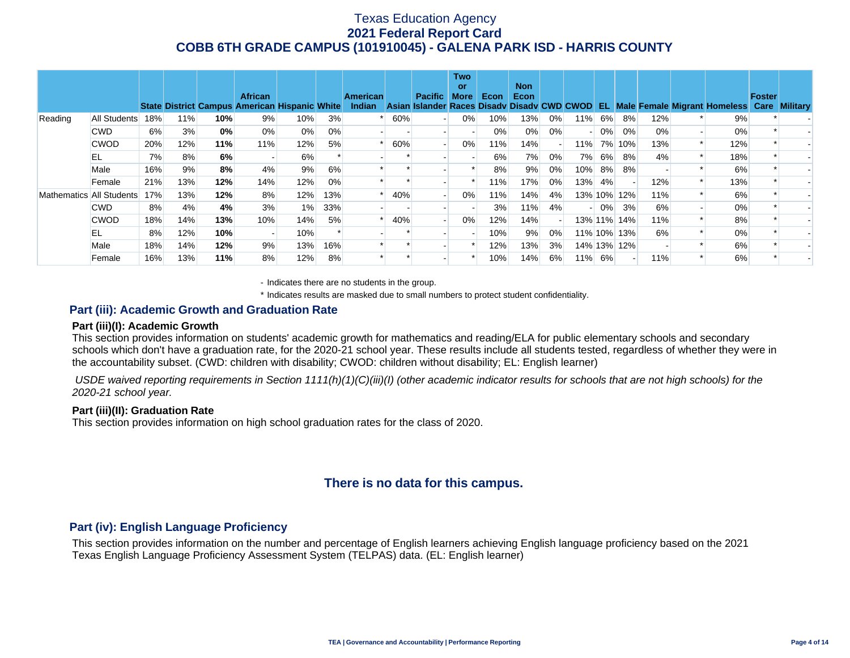|                          |              |     |     |     | <b>African</b><br><b>State District Campus American Hispanic White</b> |       |       | <b>American</b><br>Indian |     | <b>Pacific</b>           | <b>Two</b><br>or<br><b>More</b> | Econ | <b>Non</b><br>Econ |                          |                          |        |             |     | Asian Islander Races Disady Disady CWD CWOD EL Male Female Migrant Homeless Care Military | Foster |  |
|--------------------------|--------------|-----|-----|-----|------------------------------------------------------------------------|-------|-------|---------------------------|-----|--------------------------|---------------------------------|------|--------------------|--------------------------|--------------------------|--------|-------------|-----|-------------------------------------------------------------------------------------------|--------|--|
| Reading                  | All Students | 18% | 11% | 10% | 9%                                                                     | 10%   | 3%    |                           | 60% |                          | 0%                              | 10%  | 13%                | $0\%$                    | 11%                      | 6%     | 8%          | 12% | 9%                                                                                        |        |  |
|                          | <b>CWD</b>   | 6%  | 3%  | 0%  | 0%                                                                     | 0%    | $0\%$ |                           |     |                          |                                 | 0%   | 0%                 | $0\%$                    | $\overline{\phantom{0}}$ | $0\%$  | 0%          | 0%  | $0\%$                                                                                     |        |  |
|                          | <b>CWOD</b>  | 20% | 12% | 11% | 11%                                                                    | 12%   | 5%    |                           | 60% |                          | 0%                              | 11%  | 14%                | $\overline{\phantom{0}}$ | 11%                      | 7%     | 10%         | 13% | 12%                                                                                       |        |  |
|                          | EL           | 7%  | 8%  | 6%  |                                                                        | 6%    |       |                           |     |                          |                                 | 6%   | 7%                 | $0\%$                    | 7%                       | 6%     | 8%          | 4%  | 18%                                                                                       |        |  |
|                          | Male         | 16% | 9%  | 8%  | 4%                                                                     | 9%    | 6%    |                           |     |                          |                                 | 8%   | 9%                 | 0%                       | 10%                      | 8%     | 8%          |     | 6%                                                                                        |        |  |
|                          | Female       | 21% | 13% | 12% | 14%                                                                    | 12%   | $0\%$ |                           |     |                          |                                 | 11%  | 17%                | 0%                       |                          | 13% 4% |             | 12% | 13%                                                                                       |        |  |
| Mathematics All Students |              | 17% | 13% | 12% | 8%                                                                     | 12%   | 13%   |                           | 40% |                          | 0%                              | 11%  | 14%                | 4%                       |                          |        | 13% 10% 12% | 11% | 6%                                                                                        |        |  |
|                          | <b>CWD</b>   | 8%  | 4%  | 4%  | 3%                                                                     | $1\%$ | 33%   |                           |     |                          |                                 | 3%   | 11%                | 4%                       |                          | $0\%$  | 3%          | 6%  | 0%                                                                                        |        |  |
|                          | <b>CWOD</b>  | 18% | 14% | 13% | 10%                                                                    | 14%   | 5%    |                           | 40% | $\overline{\phantom{a}}$ | 0%                              | 12%  | 14%                | $\overline{\phantom{0}}$ |                          |        | 13% 11% 14% | 11% | 8%                                                                                        |        |  |
|                          | EL           | 8%  | 12% | 10% |                                                                        | 10%   |       |                           |     |                          |                                 | 10%  | 9%                 | 0%                       |                          |        | 11% 10% 13% | 6%  | 0%                                                                                        |        |  |
|                          | Male         | 18% | 14% | 12% | 9%                                                                     | 13%   | 16%   |                           |     |                          |                                 | 12%  | 13%                | 3%                       |                          |        | 14% 13% 12% |     | 6%                                                                                        |        |  |
|                          | Female       | 16% | 13% | 11% | 8%                                                                     | 12%   | 8%    |                           |     |                          |                                 | 10%  | 14%                | 6%                       |                          | 11% 6% |             | 11% | 6%                                                                                        |        |  |

- Indicates there are no students in the group.

\* Indicates results are masked due to small numbers to protect student confidentiality.

### **Part (iii): Academic Growth and Graduation Rate**

#### **Part (iii)(I): Academic Growth**

This section provides information on students' academic growth for mathematics and reading/ELA for public elementary schools and secondary schools which don't have a graduation rate, for the 2020-21 school year. These results include all students tested, regardless of whether they were in the accountability subset. (CWD: children with disability; CWOD: children without disability; EL: English learner)

 *USDE waived reporting requirements in Section 1111(h)(1)(C)(iii)(I) (other academic indicator results for schools that are not high schools) for the 2020-21 school year.* 

### **Part (iii)(II): Graduation Rate**

This section provides information on high school graduation rates for the class of 2020.

## **There is no data for this campus.**

### **Part (iv): English Language Proficiency**

This section provides information on the number and percentage of English learners achieving English language proficiency based on the 2021 Texas English Language Proficiency Assessment System (TELPAS) data. (EL: English learner)